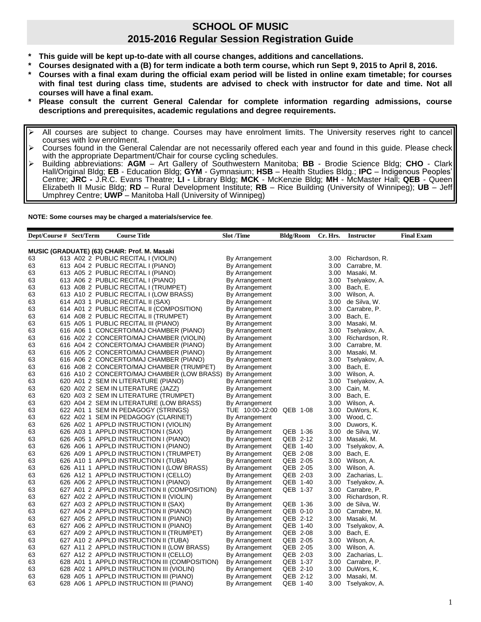## **SCHOOL OF MUSIC 2015-2016 Regular Session Registration Guide**

- **\* This guide will be kept up-to-date with all course changes, additions and cancellations.**
- **\* Courses designated with a (B) for term indicate a both term course, which run Sept 9, 2015 to April 8, 2016.**
- **\* Courses with a final exam during the official exam period will be listed in online exam timetable; for courses with final test during class time, students are advised to check with instructor for date and time. Not all courses will have a final exam.**
- **\* Please consult the current General Calendar for complete information regarding admissions, course descriptions and prerequisites, academic regulations and degree requirements.**
- All courses are subject to change. Courses may have enrolment limits. The University reserves right to cancel courses with low enrolment.
- $\triangleright$  Courses found in the General Calendar are not necessarily offered each year and found in this guide. Please check with the appropriate Department/Chair for course cycling schedules.
- Building abbreviations: **AGM** Art Gallery of Southwestern Manitoba; **BB** Brodie Science Bldg; **CHO** Clark Hall/Original Bldg; **EB** - Education Bldg; **GYM** - Gymnasium; **HSB** – Health Studies Bldg.; **IPC** – Indigenous Peoples' Centre; **JRC -** J.R.C. Evans Theatre; **LI -** Library Bldg; **MCK** - McKenzie Bldg; **MH** - McMaster Hall; **QEB** - Queen Elizabeth II Music Bldg; **RD** – Rural Development Institute; **RB** – Rice Building (University of Winnipeg); **UB** – Jeff Umphrey Centre; **UWP** – Manitoba Hall (University of Winnipeg)

**NOTE: Some courses may be charged a materials/service fee**.

| Dept/Course # Sect/Term                                                             |  |  | <b>Course Title</b>                   |                                                           | <b>Slot</b> /Time |                                  | <b>Bldg/Room</b> |  | Cr. Hrs.     | <b>Instructor</b>      | <b>Final Exam</b> |
|-------------------------------------------------------------------------------------|--|--|---------------------------------------|-----------------------------------------------------------|-------------------|----------------------------------|------------------|--|--------------|------------------------|-------------------|
|                                                                                     |  |  |                                       |                                                           |                   |                                  |                  |  |              |                        |                   |
| MUSIC (GRADUATE) (63) CHAIR: Prof. M. Masaki<br>613 A02 2 PUBLIC RECITAL I (VIOLIN) |  |  |                                       |                                                           |                   |                                  |                  |  |              |                        |                   |
| 63                                                                                  |  |  |                                       |                                                           |                   | By Arrangement                   |                  |  | 3.00         | Richardson, R.         |                   |
| 63                                                                                  |  |  | 613 A04 2 PUBLIC RECITAL I (PIANO)    |                                                           |                   | By Arrangement                   |                  |  | 3.00         | Carrabre, M.           |                   |
| 63                                                                                  |  |  | 613 A05 2 PUBLIC RECITAL I (PIANO)    |                                                           |                   | By Arrangement                   |                  |  | 3.00         | Masaki, M.             |                   |
| 63                                                                                  |  |  | 613 A06 2 PUBLIC RECITAL I (PIANO)    |                                                           |                   | By Arrangement                   |                  |  | 3.00         | Tselyakov, A.          |                   |
| 63                                                                                  |  |  | 613 A08 2 PUBLIC RECITAL I (TRUMPET)  | 613 A10 2 PUBLIC RECITAL I (LOW BRASS)                    |                   | By Arrangement                   |                  |  | 3.00<br>3.00 | Bach, E.<br>Wilson, A. |                   |
| 63<br>63                                                                            |  |  | 614 A03 1 PUBLIC RECITAL II (SAX)     |                                                           |                   | By Arrangement<br>By Arrangement |                  |  | 3.00         | de Silva, W.           |                   |
| 63                                                                                  |  |  |                                       | 614 A01 2 PUBLIC RECITAL II (COMPOSITION)                 |                   | By Arrangement                   |                  |  | 3.00         | Carrabre, P.           |                   |
| 63                                                                                  |  |  | 614 A08 2 PUBLIC RECITAL II (TRUMPET) |                                                           |                   | By Arrangement                   |                  |  | 3.00         | Bach, E.               |                   |
| 63                                                                                  |  |  | 615 A05 1 PUBLIC RECITAL III (PIANO)  |                                                           |                   | By Arrangement                   |                  |  | 3.00         | Masaki, M.             |                   |
| 63                                                                                  |  |  |                                       | 616 A06 1 CONCERTO/MAJ CHAMBER (PIANO)                    |                   | By Arrangement                   |                  |  | 3.00         | Tselyakov, A.          |                   |
| 63                                                                                  |  |  |                                       | 616 A02 2 CONCERTO/MAJ CHAMBER (VIOLIN)                   |                   | By Arrangement                   |                  |  | 3.00         | Richardson, R.         |                   |
| 63                                                                                  |  |  |                                       | 616 A04 2 CONCERTO/MAJ CHAMBER (PIANO)                    |                   | By Arrangement                   |                  |  | 3.00         | Carrabre, M.           |                   |
| 63                                                                                  |  |  |                                       | 616 A05 2 CONCERTO/MAJ CHAMBER (PIANO)                    |                   | By Arrangement                   |                  |  | 3.00         | Masaki, M.             |                   |
| 63                                                                                  |  |  |                                       | 616 A06 2 CONCERTO/MAJ CHAMBER (PIANO)                    |                   | By Arrangement                   |                  |  | 3.00         | Tselyakov, A.          |                   |
| 63                                                                                  |  |  |                                       | 616 A08 2 CONCERTO/MAJ CHAMBER (TRUMPET)                  |                   | By Arrangement                   |                  |  | 3.00         | Bach, E.               |                   |
| 63                                                                                  |  |  |                                       | 616 A10 2 CONCERTO/MAJ CHAMBER (LOW BRASS) By Arrangement |                   |                                  |                  |  | 3.00         | Wilson, A.             |                   |
| 63                                                                                  |  |  | 620 A01 2 SEM IN LITERATURE (PIANO)   |                                                           |                   | By Arrangement                   |                  |  | 3.00         | Tselyakov, A.          |                   |
| 63                                                                                  |  |  | 620 A02 2 SEM IN LITERATURE (JAZZ)    |                                                           |                   | By Arrangement                   |                  |  | 3.00         | Cain, M.               |                   |
| 63                                                                                  |  |  |                                       | 620 A03 2 SEM IN LITERATURE (TRUMPET)                     |                   | By Arrangement                   |                  |  | 3.00         | Bach, E.               |                   |
| 63                                                                                  |  |  |                                       | 620 A04 2 SEM IN LITERATURE (LOW BRASS)                   |                   | By Arrangement                   |                  |  | 3.00         | Wilson, A.             |                   |
| 63                                                                                  |  |  | 622 A01 1 SEM IN PEDAGOGY (STRINGS)   |                                                           |                   | TUE 10:00-12:00                  | QEB 1-08         |  | 3.00         | DuWors, K.             |                   |
| 63                                                                                  |  |  |                                       | 622 A02 1 SEM IN PEDAGOGY (CLARINET)                      |                   | By Arrangement                   |                  |  | 3.00         | Wood, C.               |                   |
| 63                                                                                  |  |  |                                       | 626 A02 1 APPLD INSTRUCTION I (VIOLIN)                    |                   | By Arrangement                   |                  |  | 3.00         | Duwors, K.             |                   |
| 63                                                                                  |  |  | 626 A03 1 APPLD INSTRUCTION I (SAX)   |                                                           |                   | By Arrangement                   | QEB 1-36         |  | 3.00         | de Silva, W.           |                   |
| 63                                                                                  |  |  |                                       | 626 A05 1 APPLD INSTRUCTION I (PIANO)                     |                   | By Arrangement                   | QEB 2-12         |  | 3.00         | Masaki, M.             |                   |
| 63                                                                                  |  |  |                                       | 626 A06 1 APPLD INSTRUCTION I (PIANO)                     |                   | By Arrangement                   | QEB 1-40         |  | 3.00         | Tselyakov, A.          |                   |
| 63                                                                                  |  |  |                                       | 626 A09 1 APPLD INSTRUCTION I (TRUMPET)                   |                   | By Arrangement                   | QEB 2-08         |  | 3.00         | Bach, E.               |                   |
| 63                                                                                  |  |  | 626 A10 1 APPLD INSTRUCTION I (TUBA)  |                                                           |                   | By Arrangement                   | QEB 2-05         |  | 3.00         | Wilson, A.             |                   |
| 63                                                                                  |  |  |                                       | 626 A11 1 APPLD INSTRUCTION I (LOW BRASS)                 |                   | By Arrangement                   | QEB 2-05         |  | 3.00         | Wilson, A.             |                   |
| 63                                                                                  |  |  |                                       | 626 A12 1 APPLD INSTRUCTION I (CELLO)                     |                   | By Arrangement                   | QEB 2-03         |  | 3.00         | Zacharias, L.          |                   |
| 63                                                                                  |  |  |                                       | 626 A06 2 APPLD INSTRUCTION I (PIANO)                     |                   | By Arrangement                   | QEB 1-40         |  | 3.00         | Tselyakov, A.          |                   |
| 63                                                                                  |  |  |                                       | 627 A01 2 APPLD INSTRUCTION II (COMPOSITION)              |                   | By Arrangement                   | QEB 1-37         |  | 3.00         | Carrabre, P.           |                   |
| 63                                                                                  |  |  |                                       | 627 A02 2 APPLD INSTRUCTION II (VIOLIN)                   |                   | By Arrangement                   |                  |  | 3.00         | Richardson, R.         |                   |
| 63                                                                                  |  |  | 627 A03 2 APPLD INSTRUCTION II (SAX)  |                                                           |                   | By Arrangement                   | QEB 1-36         |  | 3.00         | de Silva, W.           |                   |
| 63                                                                                  |  |  |                                       | 627 A04 2 APPLD INSTRUCTION II (PIANO)                    |                   | By Arrangement                   | QEB 0-10         |  | 3.00         | Carrabre, M.           |                   |
| 63                                                                                  |  |  |                                       | 627 A05 2 APPLD INSTRUCTION II (PIANO)                    |                   | By Arrangement                   | QEB 2-12         |  | 3.00         | Masaki, M.             |                   |
| 63                                                                                  |  |  |                                       | 627 A06 2 APPLD INSTRUCTION II (PIANO)                    |                   | By Arrangement                   | QEB 1-40         |  | 3.00         | Tselyakov, A.          |                   |
| 63                                                                                  |  |  |                                       | 627 A09 2 APPLD INSTRUCTION II (TRUMPET)                  |                   | By Arrangement                   | QEB 2-08         |  | 3.00         | Bach, E.               |                   |
| 63                                                                                  |  |  | 627 A10 2 APPLD INSTRUCTION II (TUBA) |                                                           |                   | By Arrangement                   | QEB 2-05         |  | 3.00         | Wilson, A.             |                   |
| 63                                                                                  |  |  |                                       | 627 A11 2 APPLD INSTRUCTION II (LOW BRASS)                |                   | By Arrangement                   | QEB 2-05         |  | 3.00         | Wilson, A.             |                   |
| 63                                                                                  |  |  |                                       | 627 A12 2 APPLD INSTRUCTION II (CELLO)                    |                   | By Arrangement                   | QEB 2-03         |  | 3.00         | Zacharias, L.          |                   |
| 63                                                                                  |  |  |                                       | 628 A01 1 APPLD INSTRUCTION III (COMPOSITION)             |                   | By Arrangement                   | QEB 1-37         |  | 3.00         | Carrabre, P.           |                   |
| 63                                                                                  |  |  |                                       | 628 A02 1 APPLD INSTRUCTION III (VIOLIN)                  |                   | By Arrangement                   | QEB 2-10         |  | 3.00         | DuWors, K.             |                   |
| 63                                                                                  |  |  |                                       | 628 A05 1 APPLD INSTRUCTION III (PIANO)                   |                   | By Arrangement                   | QEB 2-12         |  | 3.00         | Masaki, M.             |                   |
| 63                                                                                  |  |  |                                       | 628 A06 1 APPLD INSTRUCTION III (PIANO)                   |                   | By Arrangement                   | QEB 1-40         |  | 3.00         | Tselyakov, A.          |                   |
|                                                                                     |  |  |                                       |                                                           |                   |                                  |                  |  |              |                        |                   |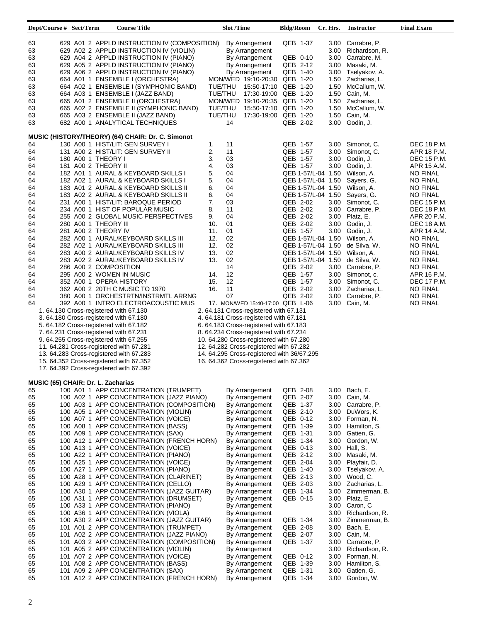| Dept/Course # Sect/Term                                                                                                                |                                                                                                                                                                                                                                                                                                                                                                                       | <b>Course Title</b>                                                                                                                                                                                                                                                                                                                                                                                                                                                                                                                                                                                                                                                                |                                                                                                                               | <b>Slot /Time</b>                                                                                                                |                                                                                                                                                                                                                                                                                                                            | <b>Bldg/Room</b>                                                                                                                                                     |                                                                                                                                                                              | Cr. Hrs.                                                                                                             | <b>Instructor</b>                                                                                                                                                                                                                                                                                                                         | <b>Final Exam</b>                                                                                                                                                                                                                                                                                                                                                                              |
|----------------------------------------------------------------------------------------------------------------------------------------|---------------------------------------------------------------------------------------------------------------------------------------------------------------------------------------------------------------------------------------------------------------------------------------------------------------------------------------------------------------------------------------|------------------------------------------------------------------------------------------------------------------------------------------------------------------------------------------------------------------------------------------------------------------------------------------------------------------------------------------------------------------------------------------------------------------------------------------------------------------------------------------------------------------------------------------------------------------------------------------------------------------------------------------------------------------------------------|-------------------------------------------------------------------------------------------------------------------------------|----------------------------------------------------------------------------------------------------------------------------------|----------------------------------------------------------------------------------------------------------------------------------------------------------------------------------------------------------------------------------------------------------------------------------------------------------------------------|----------------------------------------------------------------------------------------------------------------------------------------------------------------------|------------------------------------------------------------------------------------------------------------------------------------------------------------------------------|----------------------------------------------------------------------------------------------------------------------|-------------------------------------------------------------------------------------------------------------------------------------------------------------------------------------------------------------------------------------------------------------------------------------------------------------------------------------------|------------------------------------------------------------------------------------------------------------------------------------------------------------------------------------------------------------------------------------------------------------------------------------------------------------------------------------------------------------------------------------------------|
| 63<br>63<br>63<br>63<br>63<br>63<br>63<br>63<br>63<br>63<br>63<br>63                                                                   |                                                                                                                                                                                                                                                                                                                                                                                       | 629 A01 2 APPLD INSTRUCTION IV (COMPOSITION)<br>629 A02 2 APPLD INSTRUCTION IV (VIOLIN)<br>629 A04 2 APPLD INSTRUCTION IV (PIANO)<br>629 A05 2 APPLD INSTRUCTION IV (PIANO)<br>629 A06 2 APPLD INSTRUCTION IV (PIANO)<br>664 A01 1 ENSEMBLE I (ORCHESTRA)<br>664 A02 1 ENSEMBLE I (SYMPHONIC BAND)<br>664 A03 1 ENSEMBLE I (JAZZ BAND)<br>665 A01 2 ENSEMBLE II (ORCHESTRA)<br>665 A02 2 ENSEMBLE II (SYMPHONIC BAND)<br>665 A03 2 ENSEMBLE II (JAZZ BAND)<br>682 A00 1 ANALYTICAL TECHNIQUES                                                                                                                                                                                      | TUE/THU<br>TUE/THU<br>TUE/THU<br>TUE/THU                                                                                      | 14                                                                                                                               | By Arrangement<br>By Arrangement<br>By Arrangement<br>By Arrangement<br>By Arrangement<br>MON/WED 19:10-20:30<br>15:50-17:10<br>17:30-19:00 QEB 1-20<br>MON/WED 19:10-20:35 QEB 1-20<br>15:50-17:10<br>17:30-19:00                                                                                                         | QEB 1-37<br>QEB 0-10<br>QEB 2-12<br>QEB 1-40<br>QEB 1-20<br>QEB 1-20<br>QEB 1-20<br>QEB 1-20<br>QEB 2-02                                                             |                                                                                                                                                                              | 3.00<br>3.00<br>3.00<br>3.00<br>3.00<br>1.50<br>1.50<br>1.50<br>1.50<br>1.50<br>1.50<br>3.00                         | Carrabre, P.<br>Richardson, R.<br>Carrabre, M.<br>Masaki, M.<br>Tselyakov, A.<br>Zacharias, L.<br>McCallum, W.<br>Cain, M.<br>Zacharias, L.<br>McCallum, W.<br>Cain, M.<br>Godin, J.                                                                                                                                                      |                                                                                                                                                                                                                                                                                                                                                                                                |
|                                                                                                                                        |                                                                                                                                                                                                                                                                                                                                                                                       |                                                                                                                                                                                                                                                                                                                                                                                                                                                                                                                                                                                                                                                                                    |                                                                                                                               |                                                                                                                                  |                                                                                                                                                                                                                                                                                                                            |                                                                                                                                                                      |                                                                                                                                                                              |                                                                                                                      |                                                                                                                                                                                                                                                                                                                                           |                                                                                                                                                                                                                                                                                                                                                                                                |
| 64<br>64<br>64<br>64<br>64<br>64<br>64<br>64<br>64<br>64<br>64<br>64<br>64<br>64<br>64<br>64<br>64<br>64<br>64<br>64<br>64<br>64<br>64 | 180 A00 1 THEORY I<br>181 A00 2 THEORY II<br>280 A00 1 THEORY III<br>281 A00 2 THEORY IV<br>286 A00 2 COMPOSITION<br>295 A00 2 WOMEN IN MUSIC<br>352 A00 1 OPERA HISTORY<br>1.64.130 Cross-registered with 67.130                                                                                                                                                                     | MUSIC (HISTORY/THEORY) (64) CHAIR: Dr. C. Simonot<br>130 A00 1 HIST/LIT: GEN SURVEY I<br>131 A00 2 HIST/LIT: GEN SURVEY II<br>182 A01 1 AURAL & KEYBOARD SKILLS I<br>182 A02 1 AURAL & KEYBOARD SKILLS I<br>183 A01 2 AURAL & KEYBOARD SKILLS II<br>183 A02 2 AURAL & KEYBOARD SKILLS II<br>231 A00 1 HIST/LIT: BAROQUE PERIOD<br>234 A00 1 HIST OF POPULAR MUSIC<br>255 A00 2 GLOBAL MUSIC PERSPECTIVES<br>282 A00 1 AURAL/KEYBOARD SKILLS III<br>282 A02 1 AURAL/KEYBOARD SKILLS III<br>283 A00 2 AURAL/KEYBOARD SKILLS IV<br>283 A02 2 AURAL/KEYBOARD SKILLS IV<br>362 A00 2 20TH C MUSIC TO 1970<br>380 A00 1 ORCHESTRTN/INSTRMTL ARRNG<br>392 A00 1 INTRO ELECTROACOUSTIC MUS | 1.<br>2.<br>3.<br>4.<br>5.<br>5.<br>6.<br>6.<br>7.<br>8.<br>9.<br>10.<br>11.<br>12.<br>12.<br>13.<br>13.<br>14.<br>15.<br>16. | 11<br>11<br>03<br>03<br>04<br>04<br>04<br>04<br>03<br>11<br>04<br>01<br>01<br>02<br>02<br>02<br>02<br>14<br>12<br>12<br>11<br>07 | 17. MON/WED 15:40-17:00 QEB L-06<br>2. 64.131 Cross-registered with 67.131                                                                                                                                                                                                                                                 | QEB 1-57<br>QEB 1-57<br>QEB 1-57<br>QEB 1-57<br>QEB 2-02<br>QEB 2-02<br>QEB 2-02<br>QEB 2-02<br>QEB 1-57<br>QEB 2-02<br>QEB 1-57<br>QEB 1-57<br>QEB 2-02<br>QEB 2-02 | QEB 1-57/L-04 1.50<br>QEB 1-57/L-04 1.50<br>QEB 1-57/L-04 1.50<br>QEB 1-57/L-04 1.50<br>QEB 1-57/L-04 1.50<br>QEB 1-57/L-04 1.50<br>QEB 1-57/L-04 1.50<br>QEB 1-57/L-04 1.50 | 3.00<br>3.00<br>3.00<br>3.00<br>3.00<br>3.00<br>3.00<br>3.00<br>3.00<br>3.00<br>3.00<br>3.00<br>3.00<br>3.00<br>3.00 | Simonot, C.<br>Simonot, C.<br>Godin, J.<br>Godin, J.<br>Wilson, A.<br>Sayers, G.<br>Wilson, A.<br>Sayers, G.<br>Simonot, C.<br>Carrabre, P.<br>Platz, E.<br>Godin, J.<br>Godin, J.<br>Wilson, A.<br>de Silva, W.<br>Wilson, A.<br>de Silva, W.<br>Carrabre, P.<br>Simonot, c.<br>Simonot, C.<br>Zacharias, L.<br>Carrabre, P.<br>Cain, M. | <b>DEC 18 P.M.</b><br>APR 18 P.M.<br>DEC 15 P.M.<br>APR 15 A.M.<br><b>NO FINAL</b><br><b>NO FINAL</b><br>NO FINAL<br><b>NO FINAL</b><br><b>DEC 15 P.M.</b><br>DEC 18 P.M.<br>APR 20 P.M.<br>DEC 18 A.M.<br>APR 14 A.M.<br><b>NO FINAL</b><br><b>NO FINAL</b><br><b>NO FINAL</b><br><b>NO FINAL</b><br>NO FINAL<br>APR 16 P.M.<br>DEC 17 P.M.<br>NO FINAL<br><b>NO FINAL</b><br><b>NO FINAL</b> |
| 65                                                                                                                                     | 3. 64.180 Cross-registered with 67.180<br>5. 64.182 Cross-registered with 67.182<br>7. 64.231 Cross-registered with 67.231<br>9. 64.255 Cross-registered with 67.255<br>11. 64.281 Cross-registered with 67.281<br>13.64.283 Cross-registered with 67.283<br>15. 64.352 Cross-registered with 67.352<br>17. 64.392 Cross-registered with 67.392<br>MUSIC (65) CHAIR: Dr. L. Zacharias | 100 A01 1 APP CONCENTRATION (TRUMPET)                                                                                                                                                                                                                                                                                                                                                                                                                                                                                                                                                                                                                                              |                                                                                                                               |                                                                                                                                  | 4.64.181 Cross-registered with 67.181<br>6. 64.183 Cross-registered with 67.183<br>8. 64.234 Cross-registered with 67.234<br>10. 64.280 Cross-registered with 67.280<br>12. 64.282 Cross-registered with 67.282<br>14. 64.295 Cross-registered with 36/67.295<br>16. 64.362 Cross-registered with 67.362<br>By Arrangement | QEB 2-08                                                                                                                                                             |                                                                                                                                                                              | 3.00                                                                                                                 | Bach, E.                                                                                                                                                                                                                                                                                                                                  |                                                                                                                                                                                                                                                                                                                                                                                                |
| 65                                                                                                                                     |                                                                                                                                                                                                                                                                                                                                                                                       | 100 A02 1 APP CONCENTRATION (JAZZ PIANO)                                                                                                                                                                                                                                                                                                                                                                                                                                                                                                                                                                                                                                           |                                                                                                                               |                                                                                                                                  | By Arrangement                                                                                                                                                                                                                                                                                                             | QEB 2-07                                                                                                                                                             |                                                                                                                                                                              | 3.00                                                                                                                 | Cain, M.                                                                                                                                                                                                                                                                                                                                  |                                                                                                                                                                                                                                                                                                                                                                                                |
| 65                                                                                                                                     |                                                                                                                                                                                                                                                                                                                                                                                       | 100 A03 1 APP CONCENTRATION (COMPOSITION)                                                                                                                                                                                                                                                                                                                                                                                                                                                                                                                                                                                                                                          |                                                                                                                               |                                                                                                                                  | By Arrangement                                                                                                                                                                                                                                                                                                             | QEB 1-37                                                                                                                                                             |                                                                                                                                                                              | 3.00                                                                                                                 | Carrabre, P.                                                                                                                                                                                                                                                                                                                              |                                                                                                                                                                                                                                                                                                                                                                                                |
| 65<br>65                                                                                                                               |                                                                                                                                                                                                                                                                                                                                                                                       | 100 A05 1 APP CONCENTRATION (VIOLIN)<br>100 A07 1 APP CONCENTRATION (VOICE)                                                                                                                                                                                                                                                                                                                                                                                                                                                                                                                                                                                                        |                                                                                                                               |                                                                                                                                  | By Arrangement<br>By Arrangement                                                                                                                                                                                                                                                                                           | QEB 2-10<br>QEB 0-12                                                                                                                                                 |                                                                                                                                                                              | 3.00<br>3.00                                                                                                         | DuWors, K.<br>Forman, N.                                                                                                                                                                                                                                                                                                                  |                                                                                                                                                                                                                                                                                                                                                                                                |
| 65                                                                                                                                     |                                                                                                                                                                                                                                                                                                                                                                                       | 100 A08 1 APP CONCENTRATION (BASS)                                                                                                                                                                                                                                                                                                                                                                                                                                                                                                                                                                                                                                                 |                                                                                                                               |                                                                                                                                  | By Arrangement                                                                                                                                                                                                                                                                                                             | QEB 1-39                                                                                                                                                             |                                                                                                                                                                              | 3.00                                                                                                                 | Hamilton, S.                                                                                                                                                                                                                                                                                                                              |                                                                                                                                                                                                                                                                                                                                                                                                |
| 65<br>65                                                                                                                               |                                                                                                                                                                                                                                                                                                                                                                                       | 100 A09 1 APP CONCENTRATION (SAX)<br>100 A12 1 APP CONCENTRATION (FRENCH HORN)                                                                                                                                                                                                                                                                                                                                                                                                                                                                                                                                                                                                     |                                                                                                                               |                                                                                                                                  | By Arrangement<br>By Arrangement                                                                                                                                                                                                                                                                                           | QEB 1-31<br>QEB 1-34                                                                                                                                                 |                                                                                                                                                                              | 3.00<br>3.00                                                                                                         | Gatien, G.<br>Gordon, W.                                                                                                                                                                                                                                                                                                                  |                                                                                                                                                                                                                                                                                                                                                                                                |
| 65                                                                                                                                     |                                                                                                                                                                                                                                                                                                                                                                                       | 100 A13 1 APP CONCENTRATION (VOICE)                                                                                                                                                                                                                                                                                                                                                                                                                                                                                                                                                                                                                                                |                                                                                                                               |                                                                                                                                  | By Arrangement                                                                                                                                                                                                                                                                                                             | QEB 0-13                                                                                                                                                             |                                                                                                                                                                              | 3.00                                                                                                                 | Hall, S.                                                                                                                                                                                                                                                                                                                                  |                                                                                                                                                                                                                                                                                                                                                                                                |
| 65<br>65                                                                                                                               |                                                                                                                                                                                                                                                                                                                                                                                       | 100 A22 1 APP CONCENTRATION (PIANO)<br>100 A25 1 APP CONCENTRATION (VOICE)                                                                                                                                                                                                                                                                                                                                                                                                                                                                                                                                                                                                         |                                                                                                                               |                                                                                                                                  | By Arrangement<br>By Arrangement                                                                                                                                                                                                                                                                                           | QEB 2-12<br>QEB 2-04                                                                                                                                                 |                                                                                                                                                                              | 3.00<br>3.00                                                                                                         | Masaki, M.<br>Playfair, D.                                                                                                                                                                                                                                                                                                                |                                                                                                                                                                                                                                                                                                                                                                                                |
| 65                                                                                                                                     |                                                                                                                                                                                                                                                                                                                                                                                       | 100 A27 1 APP CONCENTRATION (PIANO)                                                                                                                                                                                                                                                                                                                                                                                                                                                                                                                                                                                                                                                |                                                                                                                               |                                                                                                                                  | By Arrangement                                                                                                                                                                                                                                                                                                             | QEB 1-40                                                                                                                                                             |                                                                                                                                                                              | 3.00                                                                                                                 | Tselyakov, A.                                                                                                                                                                                                                                                                                                                             |                                                                                                                                                                                                                                                                                                                                                                                                |
| 65<br>65                                                                                                                               |                                                                                                                                                                                                                                                                                                                                                                                       | 100 A28 1 APP CONCENTRATION (CLARINET)<br>100 A29 1 APP CONCENTRATION (CELLO)                                                                                                                                                                                                                                                                                                                                                                                                                                                                                                                                                                                                      |                                                                                                                               |                                                                                                                                  | By Arrangement<br>By Arrangement                                                                                                                                                                                                                                                                                           | QEB 2-13<br>QEB 2-03                                                                                                                                                 |                                                                                                                                                                              | 3.00<br>3.00                                                                                                         | Wood, C.<br>Zacharias, L.                                                                                                                                                                                                                                                                                                                 |                                                                                                                                                                                                                                                                                                                                                                                                |
| 65                                                                                                                                     |                                                                                                                                                                                                                                                                                                                                                                                       | 100 A30 1 APP CONCENTRATION (JAZZ GUITAR)                                                                                                                                                                                                                                                                                                                                                                                                                                                                                                                                                                                                                                          |                                                                                                                               |                                                                                                                                  | By Arrangement                                                                                                                                                                                                                                                                                                             | QEB 1-34                                                                                                                                                             |                                                                                                                                                                              | 3.00                                                                                                                 | Zimmerman, B.                                                                                                                                                                                                                                                                                                                             |                                                                                                                                                                                                                                                                                                                                                                                                |
| 65<br>65                                                                                                                               |                                                                                                                                                                                                                                                                                                                                                                                       | 100 A31 1 APP CONCENTRATION (DRUMSET)<br>100 A33 1 APP CONCENTRATION (PIANO)                                                                                                                                                                                                                                                                                                                                                                                                                                                                                                                                                                                                       |                                                                                                                               |                                                                                                                                  | By Arrangement<br>By Arrangement                                                                                                                                                                                                                                                                                           | QEB 0-15                                                                                                                                                             |                                                                                                                                                                              | 3.00<br>3.00                                                                                                         | Platz, E.<br>Caron, C                                                                                                                                                                                                                                                                                                                     |                                                                                                                                                                                                                                                                                                                                                                                                |
| 65                                                                                                                                     |                                                                                                                                                                                                                                                                                                                                                                                       | 100 A36 1 APP CONCENTRATION (VIOLA)                                                                                                                                                                                                                                                                                                                                                                                                                                                                                                                                                                                                                                                |                                                                                                                               |                                                                                                                                  | By Arrangement                                                                                                                                                                                                                                                                                                             |                                                                                                                                                                      |                                                                                                                                                                              | 3.00                                                                                                                 | Richardson, R.                                                                                                                                                                                                                                                                                                                            |                                                                                                                                                                                                                                                                                                                                                                                                |
| 65<br>65                                                                                                                               |                                                                                                                                                                                                                                                                                                                                                                                       | 100 A30 2 APP CONCENTRATION (JAZZ GUITAR)<br>101 A01 2 APP CONCENTRATION (TRUMPET)                                                                                                                                                                                                                                                                                                                                                                                                                                                                                                                                                                                                 |                                                                                                                               |                                                                                                                                  | By Arrangement<br>By Arrangement                                                                                                                                                                                                                                                                                           | QEB 1-34<br>QEB 2-08                                                                                                                                                 |                                                                                                                                                                              | 3.00<br>3.00                                                                                                         | Zimmerman, B.<br>Bach, E.                                                                                                                                                                                                                                                                                                                 |                                                                                                                                                                                                                                                                                                                                                                                                |
| 65                                                                                                                                     |                                                                                                                                                                                                                                                                                                                                                                                       | 101 A02 2 APP CONCENTRATION (JAZZ PIANO)                                                                                                                                                                                                                                                                                                                                                                                                                                                                                                                                                                                                                                           |                                                                                                                               |                                                                                                                                  | By Arrangement                                                                                                                                                                                                                                                                                                             | QEB 2-07                                                                                                                                                             |                                                                                                                                                                              | 3.00                                                                                                                 | Cain, M.                                                                                                                                                                                                                                                                                                                                  |                                                                                                                                                                                                                                                                                                                                                                                                |
| 65<br>65                                                                                                                               |                                                                                                                                                                                                                                                                                                                                                                                       | 101 A03 2 APP CONCENTRATION (COMPOSITION)<br>101 A05 2 APP CONCENTRATION (VIOLIN)                                                                                                                                                                                                                                                                                                                                                                                                                                                                                                                                                                                                  |                                                                                                                               |                                                                                                                                  | By Arrangement<br>By Arrangement                                                                                                                                                                                                                                                                                           | QEB 1-37                                                                                                                                                             |                                                                                                                                                                              | 3.00<br>3.00                                                                                                         | Carrabre, P.<br>Richardson, R.                                                                                                                                                                                                                                                                                                            |                                                                                                                                                                                                                                                                                                                                                                                                |
| 65                                                                                                                                     |                                                                                                                                                                                                                                                                                                                                                                                       | 101 A07 2 APP CONCENTRATION (VOICE)                                                                                                                                                                                                                                                                                                                                                                                                                                                                                                                                                                                                                                                |                                                                                                                               |                                                                                                                                  | By Arrangement                                                                                                                                                                                                                                                                                                             | QEB 0-12                                                                                                                                                             |                                                                                                                                                                              | 3.00                                                                                                                 | Forman, N.                                                                                                                                                                                                                                                                                                                                |                                                                                                                                                                                                                                                                                                                                                                                                |
| 65<br>65                                                                                                                               |                                                                                                                                                                                                                                                                                                                                                                                       | 101 A08 2 APP CONCENTRATION (BASS)<br>101 A09 2 APP CONCENTRATION (SAX)                                                                                                                                                                                                                                                                                                                                                                                                                                                                                                                                                                                                            |                                                                                                                               |                                                                                                                                  | By Arrangement<br>By Arrangement                                                                                                                                                                                                                                                                                           | QEB 1-39<br>QEB 1-31                                                                                                                                                 |                                                                                                                                                                              | 3.00<br>3.00                                                                                                         | Hamilton, S.<br>Gatien, G.                                                                                                                                                                                                                                                                                                                |                                                                                                                                                                                                                                                                                                                                                                                                |
| 65                                                                                                                                     |                                                                                                                                                                                                                                                                                                                                                                                       | 101 A12 2 APP CONCENTRATION (FRENCH HORN)                                                                                                                                                                                                                                                                                                                                                                                                                                                                                                                                                                                                                                          |                                                                                                                               |                                                                                                                                  | By Arrangement                                                                                                                                                                                                                                                                                                             |                                                                                                                                                                      | QEB 1-34                                                                                                                                                                     | 3.00                                                                                                                 | Gordon, W.                                                                                                                                                                                                                                                                                                                                |                                                                                                                                                                                                                                                                                                                                                                                                |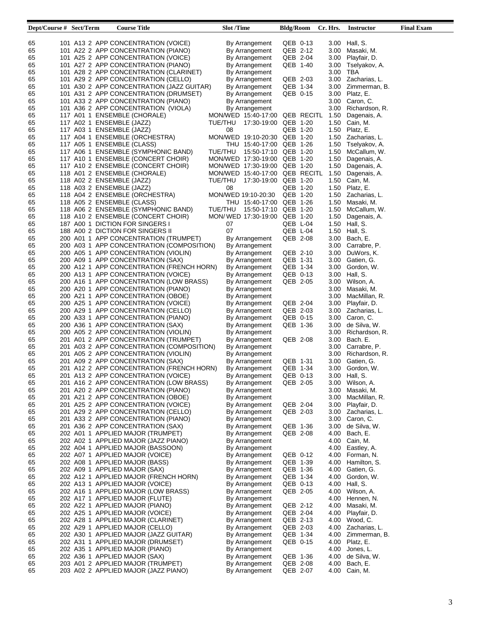| Dept/Course # Sect/Term | <b>Course Title</b>                                                                | <b>Slot</b> /Time                | <b>Bldg/Room</b>     | Cr. Hrs.     | Instructor                  | <b>Final Exam</b> |
|-------------------------|------------------------------------------------------------------------------------|----------------------------------|----------------------|--------------|-----------------------------|-------------------|
|                         |                                                                                    |                                  |                      |              |                             |                   |
| 65<br>65                | 101 A13 2 APP CONCENTRATION (VOICE)<br>101 A22 2 APP CONCENTRATION (PIANO)         | By Arrangement<br>By Arrangement | QEB 0-13<br>QEB 2-12 | 3.00         | 3.00 Hall, S.<br>Masaki, M. |                   |
| 65                      | 101 A25 2 APP CONCENTRATION (VOICE)                                                | By Arrangement                   | QEB 2-04             | 3.00         | Playfair, D.                |                   |
| 65                      | 101 A27 2 APP CONCENTRATION (PIANO)                                                | By Arrangement                   | QEB 1-40             | 3.00         | Tselyakov, A.               |                   |
| 65                      | 101 A28 2 APP CONCENTRATION (CLARINET)                                             | By Arrangement                   |                      | 3.00         | TBA                         |                   |
| 65                      | 101 A29 2 APP CONCENTRATION (CELLO)                                                | By Arrangement                   | QEB 2-03             |              | 3.00 Zacharias, L.          |                   |
| 65                      | 101 A30 2 APP CONCENTRATION (JAZZ GUITAR)                                          | By Arrangement                   | QEB 1-34             | 3.00         | Zimmerman, B.               |                   |
| 65                      | 101 A31 2 APP CONCENTRATION (DRUMSET)                                              | By Arrangement                   | QEB 0-15             | 3.00         | Platz, E.                   |                   |
| 65                      | 101 A33 2 APP CONCENTRATION (PIANO)                                                | By Arrangement                   |                      | 3.00         | Caron, C.                   |                   |
| 65                      | 101 A36 2 APP CONCENTRATION (VIOLA)                                                | By Arrangement                   |                      | 3.00         | Richardson, R.              |                   |
| 65                      | 117 A01 1 ENSEMBLE (CHORALE)                                                       | MON/WED 15:40-17:00 QEB RECITL   |                      | 1.50         | Dagenais, A.                |                   |
| 65                      | 117 A02 1 ENSEMBLE (JAZZ)                                                          | TUE/THU                          | 17:30-19:00 QEB 1-20 | 1.50         | Cain, M.                    |                   |
| 65                      | 117 A03 1 ENSEMBLE (JAZZ)                                                          | 08                               | QEB 1-20             | 1.50         | Platz, E.                   |                   |
| 65                      | 117 A04 1 ENSEMBLE (ORCHESTRA)                                                     | MON/WED 19:10-20:30 QEB 1-20     |                      | 1.50         | Zacharias, L.               |                   |
| 65                      | 117 A05 1 ENSEMBLE (CLASS)                                                         | THU 15:40-17:00 QEB 1-26         |                      | 1.50         | Tselyakov, A.               |                   |
| 65                      | 117 A06 1 ENSEMBLE (SYMPHONIC BAND)                                                | TUE/THU                          | 15:50-17:10 QEB 1-20 | 1.50         | McCallum, W.                |                   |
| 65                      | 117 A10 1 ENSEMBLE (CONCERT CHOIR)                                                 | MON/WED 17:30-19:00 QEB 1-20     |                      | 1.50         | Dagenais, A.                |                   |
| 65                      | 117 A10 2 ENSEMBLE (CONCERT CHOIR)                                                 | MON/WED 17:30-19:00 QEB 1-20     |                      | 1.50         | Dagenais, A.                |                   |
| 65                      | 118 A01 2 ENSEMBLE (CHORALE)                                                       | MON/WED 15:40-17:00 QEB RECITL   |                      | 1.50         | Dagenais, A.                |                   |
| 65                      | 118 A02 2 ENSEMBLE (JAZZ)                                                          | TUE/THU                          | 17:30-19:00 QEB 1-20 | 1.50         | Cain, M.                    |                   |
| 65                      | 118 A03 2 ENSEMBLE (JAZZ)                                                          | 08                               | QEB 1-20             | 1.50         | Platz, E.                   |                   |
| 65                      | 118 A04 2 ENSEMBLE (ORCHESTRA)                                                     | MON/WED 19:10-20:30              | QEB 1-20             | 1.50         | Zacharias, L.               |                   |
| 65                      | 118 A05 2 ENSEMBLE (CLASS)                                                         | THU 15:40-17:00 QEB 1-26         |                      | 1.50         | Masaki, M.                  |                   |
| 65                      | 118 A06 2 ENSEMBLE (SYMPHONIC BAND)                                                | TUE/THU                          | 15:50-17:10 QEB 1-20 | 1.50         | McCallum, W.                |                   |
| 65                      | 118 A10 2 ENSEMBLE (CONCERT CHOIR)                                                 | MON/WED 17:30-19:00 QEB 1-20     |                      | 1.50         | Dagenais, A.                |                   |
| 65                      | 187 A00 1 DICTION FOR SINGERS I                                                    | 07                               | QEB L-04             | 1.50         | Hall, S.                    |                   |
| 65                      | 188 A00 2 DICTION FOR SINGERS II                                                   | 07                               | QEB L-04             | 1.50         | Hall, S.                    |                   |
| 65                      | 200 A01 1 APP CONCENTRATION (TRUMPET)<br>200 A03 1 APP CONCENTRATION (COMPOSITION) | By Arrangement                   | QEB 2-08             | 3.00         | Bach, E.                    |                   |
| 65                      |                                                                                    | By Arrangement                   |                      | 3.00         | Carrabre, P.<br>DuWors, K.  |                   |
| 65<br>65                | 200 A05 1 APP CONCENTRATION (VIOLIN)<br>200 A09 1 APP CONCENTRATION (SAX)          | By Arrangement                   | QEB 2-10<br>QEB 1-31 | 3.00<br>3.00 | Gatien, G.                  |                   |
|                         | 200 A12 1 APP CONCENTRATION (FRENCH HORN)                                          | By Arrangement                   | QEB 1-34             | 3.00         | Gordon, W.                  |                   |
| 65<br>65                | 200 A13 1 APP CONCENTRATION (VOICE)                                                | By Arrangement<br>By Arrangement | QEB 0-13             | 3.00         | Hall, S.                    |                   |
| 65                      | 200 A16 1 APP CONCENTRATION (LOW BRASS)                                            | By Arrangement                   | QEB 2-05             | 3.00         | Wilson, A.                  |                   |
| 65                      | 200 A20 1 APP CONCENTRATION (PIANO)                                                | By Arrangement                   |                      | 3.00         | Masaki, M.                  |                   |
| 65                      | 200 A21 1 APP CONCENTRATION (OBOE)                                                 | By Arrangement                   |                      | 3.00         | MacMillan, R.               |                   |
| 65                      | 200 A25 1 APP CONCENTRATION (VOICE)                                                | By Arrangement                   | QEB 2-04             | 3.00         | Playfair, D.                |                   |
| 65                      | 200 A29 1 APP CONCENTRATION (CELLO)                                                | By Arrangement                   | QEB 2-03             | 3.00         | Zacharias, L.               |                   |
| 65                      | 200 A33 1 APP CONCENTRATION (PIANO)                                                | By Arrangement                   | QEB 0-15             | 3.00         | Caron, C.                   |                   |
| 65                      | 200 A36 1 APP CONCENTRATION (SAX)                                                  | By Arrangement                   | QEB 1-36             | 3.00         | de Silva, W.                |                   |
| 65                      | 200 A05 2 APP CONCENTRATION (VIOLIN)                                               | By Arrangement                   |                      | 3.00         | Richardson, R.              |                   |
| 65                      | 201 A01 2 APP CONCENTRATION (TRUMPET)                                              | By Arrangement                   | QEB 2-08             | 3.00         | Bach. E.                    |                   |
| 65                      | 201 A03 2 APP CONCENTRATION (COMPOSITION)                                          | By Arrangement                   |                      | 3.00         | Carrabre, P.                |                   |
| 65                      | 201 A05 2 APP CONCENTRATION (VIOLIN)                                               | By Arrangement                   |                      | 3.00         | Richardson, R.              |                   |
| 65                      | 201 A09 2 APP CONCENTRATION (SAX)                                                  | By Arrangement                   | QEB 1-31             | 3.00         | Gatien, G.                  |                   |
| 65                      | 201 A12 2 APP CONCENTRATION (FRENCH HORN)                                          | By Arrangement                   | QEB 1-34             | 3.00         | Gordon, W.                  |                   |
| 65                      | 201 A13 2 APP CONCENTRATION (VOICE)                                                | By Arrangement                   | QEB 0-13             |              | 3.00 Hall, S.               |                   |
| 65                      | 201 A16 2 APP CONCENTRATION (LOW BRASS)                                            | By Arrangement                   | QEB 2-05             |              | 3.00 Wilson, A.             |                   |
| 65                      | 201 A20 2 APP CONCENTRATION (PIANO)                                                | By Arrangement                   |                      | 3.00         | Masaki, M.                  |                   |
| 65                      | 201 A21 2 APP CONCENTRATION (OBOE)                                                 | By Arrangement                   |                      | 3.00         | MacMillan, R.               |                   |
| 65                      | 201 A25 2 APP CONCENTRATION (VOICE)                                                | By Arrangement                   | QEB 2-04             | 3.00         | Playfair, D.                |                   |
| 65                      | 201 A29 2 APP CONCENTRATION (CELLO)                                                | By Arrangement                   | QEB 2-03             | 3.00         | Zacharias, L.               |                   |
| 65                      | 201 A33 2 APP CONCENTRATION (PIANO)                                                | By Arrangement                   |                      | 3.00         | Caron, C.                   |                   |
| 65                      | 201 A36 2 APP CONCENTRATION (SAX)                                                  | By Arrangement                   | QEB 1-36             | 3.00         | de Silva, W.                |                   |
| 65                      | 202 A01 1 APPLIED MAJOR (TRUMPET)                                                  | By Arrangement                   | QEB 2-08             | 4.00         | Bach, E.                    |                   |
| 65                      | 202 A02 1 APPLIED MAJOR (JAZZ PIANO)                                               | By Arrangement                   |                      | 4.00         | Cain, M.                    |                   |
| 65                      | 202 A04 1 APPLIED MAJOR (BASSOON)                                                  | By Arrangement                   |                      | 4.00         | Eastley, A.                 |                   |
| 65                      | 202 A07 1 APPLIED MAJOR (VOICE)                                                    | By Arrangement                   | QEB 0-12             | 4.00         | Forman, N.                  |                   |
| 65                      | 202 A08 1 APPLIED MAJOR (BASS)                                                     | By Arrangement                   | QEB 1-39             | 4.00         | Hamilton, S.                |                   |
| 65                      | 202 A09 1 APPLIED MAJOR (SAX)                                                      | By Arrangement                   | QEB 1-36             | 4.00         | Gatien, G.                  |                   |
| 65                      | 202 A12 1 APPLIED MAJOR (FRENCH HORN)                                              | By Arrangement                   | QEB 1-34             | 4.00         | Gordon, W.                  |                   |
| 65                      | 202 A13 1 APPLIED MAJOR (VOICE)                                                    | By Arrangement                   | QEB 0-13             | 4.00         | Hall, S.                    |                   |
| 65<br>65                | 202 A16 1 APPLIED MAJOR (LOW BRASS)<br>202 A17 1 APPLIED MAJOR (FLUTE)             | By Arrangement<br>By Arrangement | QEB 2-05             | 4.00<br>4.00 | Wilson, A.<br>Hennen, N.    |                   |
| 65                      | 202 A22 1 APPLIED MAJOR (PIANO)                                                    | By Arrangement                   | QEB 2-12             | 4.00         | Masaki, M.                  |                   |
| 65                      | 202 A25 1 APPLIED MAJOR (VOICE)                                                    | By Arrangement                   | QEB 2-04             | 4.00         | Playfair, D.                |                   |
| 65                      | 202 A28 1 APPLIED MAJOR (CLARINET)                                                 | By Arrangement                   | QEB 2-13             | 4.00         | Wood, C.                    |                   |
| 65                      | 202 A29 1 APPLIED MAJOR (CELLO)                                                    | By Arrangement                   | QEB 2-03             | 4.00         | Zacharias, L.               |                   |
| 65                      | 202 A30 1 APPLIED MAJOR (JAZZ GUITAR)                                              | By Arrangement                   | QEB 1-34             | 4.00         | Zimmerman, B.               |                   |
| 65                      | 202 A31 1 APPLIED MAJOR (DRUMSET)                                                  | By Arrangement                   | QEB 0-15             | 4.00         | Platz, E.                   |                   |
| 65                      | 202 A35 1 APPLIED MAJOR (PIANO)                                                    | By Arrangement                   |                      | 4.00         | Jones, L.                   |                   |
| 65                      | 202 A36 1 APPLIED MAJOR (SAX)                                                      | By Arrangement                   | QEB 1-36             | 4.00         | de Silva, W.                |                   |
| 65                      | 203 A01 2 APPLIED MAJOR (TRUMPET)                                                  | By Arrangement                   | QEB 2-08             | 4.00         | Bach, E.                    |                   |
| 65                      | 203 A02 2 APPLIED MAJOR (JAZZ PIANO)                                               | By Arrangement                   | QEB 2-07             | 4.00         | Cain, M.                    |                   |
|                         |                                                                                    |                                  |                      |              |                             |                   |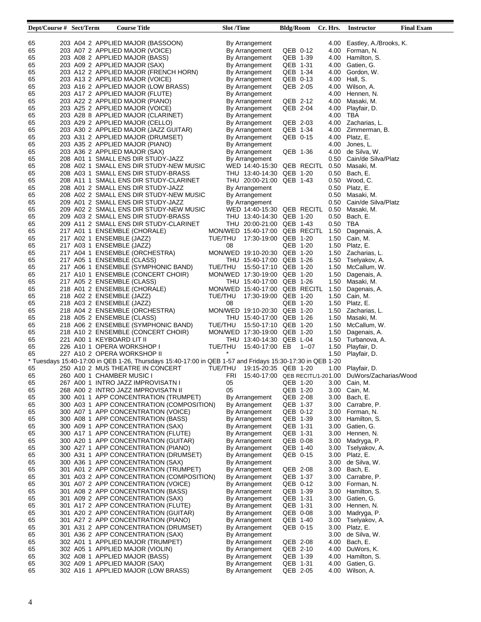| Dept/Course # Sect/Term | <b>Course Title</b>                                                                                       | <b>Slot /Time</b>                   | <b>Bldg/Room</b>     | Cr. Hrs. | <b>Instructor</b>           | <b>Final Exam</b> |
|-------------------------|-----------------------------------------------------------------------------------------------------------|-------------------------------------|----------------------|----------|-----------------------------|-------------------|
|                         |                                                                                                           |                                     |                      |          |                             |                   |
| 65                      | 203 A04 2 APPLIED MAJOR (BASSOON)                                                                         | By Arrangement                      |                      |          | 4.00 Eastley, A./Brooks, K. |                   |
| 65                      | 203 A07 2 APPLIED MAJOR (VOICE)                                                                           | By Arrangement                      | QEB 0-12             |          | 4.00 Forman, N.             |                   |
| 65                      | 203 A08 2 APPLIED MAJOR (BASS)                                                                            | By Arrangement                      | QEB 1-39             |          | 4.00 Hamilton, S.           |                   |
| 65                      | 203 A09 2 APPLIED MAJOR (SAX)                                                                             | By Arrangement                      | QEB 1-31             |          | 4.00 Gatien, G.             |                   |
| 65                      | 203 A12 2 APPLIED MAJOR (FRENCH HORN)                                                                     | By Arrangement                      | QEB 1-34             | 4.00     | Gordon, W.                  |                   |
| 65                      | 203 A13 2 APPLIED MAJOR (VOICE)                                                                           | By Arrangement                      | QEB 0-13             | 4.00     | Hall, S.                    |                   |
| 65                      | 203 A16 2 APPLIED MAJOR (LOW BRASS)                                                                       | By Arrangement                      | QEB 2-05             | 4.00     | Wilson, A.                  |                   |
| 65                      | 203 A17 2 APPLIED MAJOR (FLUTE)                                                                           | By Arrangement                      |                      | 4.00     | Hennen, N.                  |                   |
| 65                      | 203 A22 2 APPLIED MAJOR (PIANO)                                                                           | By Arrangement                      | QEB 2-12             | 4.00     | Masaki, M.                  |                   |
| 65                      | 203 A25 2 APPLIED MAJOR (VOICE)                                                                           | By Arrangement                      | QEB 2-04             | 4.00     | Playfair, D.                |                   |
| 65                      | 203 A28 8 APPLIED MAJOR (CLARINET)                                                                        | By Arrangement                      |                      | 4.00     | TBA                         |                   |
| 65                      | 203 A29 2 APPLIED MAJOR (CELLO)                                                                           | By Arrangement                      | QEB 2-03             | 4.00     | Zacharias, L.               |                   |
| 65                      | 203 A30 2 APPLIED MAJOR (JAZZ GUITAR)                                                                     | By Arrangement                      | QEB 1-34             | 4.00     | Zimmerman, B.               |                   |
| 65                      | 203 A31 2 APPLIED MAJOR (DRUMSET)                                                                         | By Arrangement                      | QEB 0-15             | 4.00     | Platz, E.                   |                   |
| 65                      | 203 A35 2 APPLIED MAJOR (PIANO)                                                                           | By Arrangement                      |                      | 4.00     | Jones, L.                   |                   |
| 65                      | 203 A36 2 APPLIED MAJOR (SAX)                                                                             | By Arrangement                      | QEB 1-36             | 4.00     | de Silva, W.                |                   |
| 65                      | 208 A01 1 SMALL ENS DIR STUDY-JAZZ                                                                        | By Arrangement                      |                      | 0.50     | Cain/de Silva/Platz         |                   |
| 65                      | 208 A02 1 SMALL ENS DIR STUDY-NEW MUSIC                                                                   | WED 14:40-15:30 QEB RECITL 0.50     |                      |          | Masaki, M.                  |                   |
| 65                      | 208 A03 1 SMALL ENS DIR STUDY-BRASS                                                                       | THU 13:40-14:30 QEB 1-20            |                      | 0.50     | Bach, E.                    |                   |
| 65                      | 208 A11 1 SMALL ENS DIR STUDY-CLARINET                                                                    | THU 20:00-21:00 QEB 1-43            |                      | 0.50     | Wood, C.                    |                   |
| 65                      | 208 A01 2 SMALL ENS DIR STUDY-JAZZ                                                                        | By Arrangement                      |                      | 0.50     | Platz, E.                   |                   |
| 65                      | 208 A02 2 SMALL ENS DIR STUDY-NEW MUSIC                                                                   | By Arrangement                      |                      | 0.50     | Masaki, M.                  |                   |
| 65                      | 209 A01 2 SMALL ENS DIR STUDY-JAZZ                                                                        | By Arrangement                      |                      | 0.50     | Cain/de Silva/Platz         |                   |
| 65                      | 209 A02 2 SMALL ENS DIR STUDY-NEW MUSIC                                                                   | WED 14:40-15:30 QEB RECITL          |                      | 0.50     | Masaki, M.                  |                   |
| 65                      | 209 A03 2 SMALL ENS DIR STUDY-BRASS                                                                       | THU 13:40-14:30 QEB 1-20            |                      | 0.50     | Bach, E.                    |                   |
| 65                      | 209 A11 2 SMALL ENS DIR STUDY-CLARINET                                                                    | THU 20:00-21:00 QEB 1-43            |                      | 0.50     | TBA                         |                   |
| 65                      | 217 A01 1 ENSEMBLE (CHORALE)                                                                              | MON/WED 15:40-17:00 QEB RECITL      |                      | 1.50     | Dagenais, A.                |                   |
| 65                      | 217 A02 1 ENSEMBLE (JAZZ)                                                                                 | TUE/THU                             | 17:30-19:00 QEB 1-20 | 1.50     | Cain, M.                    |                   |
| 65                      | 217 A03 1 ENSEMBLE (JAZZ)                                                                                 | 08                                  | QEB 1-20             | 1.50     | Platz, E.                   |                   |
| 65                      | 217 A04 1 ENSEMBLE (ORCHESTRA)                                                                            | MON/WED 19:10-20:30 QEB 1-20        |                      | 1.50     | Zacharias, L.               |                   |
| 65                      | 217 A05 1 ENSEMBLE (CLASS)                                                                                | THU 15:40-17:00 QEB 1-26            |                      | 1.50     | Tselyakov, A.               |                   |
| 65                      | 217 A06 1 ENSEMBLE (SYMPHONIC BAND)                                                                       | TUE/THU                             | 15:50-17:10 QEB 1-20 | 1.50     | McCallum, W.                |                   |
| 65                      | 217 A10 1 ENSEMBLE (CONCERT CHOIR)                                                                        | MON/WED 17:30-19:00 QEB 1-20        |                      | 1.50     | Dagenais, A.                |                   |
|                         |                                                                                                           |                                     |                      |          |                             |                   |
| 65                      | 217 A05 2 ENSEMBLE (CLASS)                                                                                | THU 15:40-17:00 QEB 1-26            |                      | 1.50     | Masaki, M.                  |                   |
| 65                      | 218 A01 2 ENSEMBLE (CHORALE)                                                                              | MON/WED 15:40-17:00 QEB RECITL      |                      | 1.50     | Dagenais, A.                |                   |
| 65                      | 218 A02 2 ENSEMBLE (JAZZ)                                                                                 | TUE/THU                             | 17:30-19:00 QEB 1-20 | 1.50     | Cain, M.                    |                   |
| 65                      | 218 A03 2 ENSEMBLE (JAZZ)                                                                                 | 08                                  | QEB 1-20             | 1.50     | Platz, E.                   |                   |
| 65                      | 218 A04 2 ENSEMBLE (ORCHESTRA)                                                                            | MON/WED 19:10-20:30 QEB 1-20        |                      | 1.50     | Zacharias, L.               |                   |
| 65                      | 218 A05 2 ENSEMBLE (CLASS)                                                                                | THU 15:40-17:00 QEB 1-26            |                      | 1.50     | Masaki, M.                  |                   |
| 65                      | 218 A06 2 ENSEMBLE (SYMPHONIC BAND)                                                                       | TUE/THU                             | 15:50-17:10 QEB 1-20 | 1.50     | McCallum, W.                |                   |
| 65                      | 218 A10 2 ENSEMBLE (CONCERT CHOIR)                                                                        | MON/WED 17:30-19:00 QEB 1-20        |                      | 1.50     | Dagenais, A.                |                   |
| 65                      | 221 A00 1 KEYBOARD LIT II                                                                                 | THU 13:40-14:30 QEB L-04            |                      | 1.50     | Turbanova, A.               |                   |
| 65                      | 226 A10 1 OPERA WORKSHOP I                                                                                | TUE/THU<br>15:40-17:00 EB           | 1--07                | 1.50     | Playfair, D.                |                   |
| 65                      | 227 A10 2 OPERA WORKSHOP II                                                                               |                                     |                      | 1.50     | Playfair, D.                |                   |
|                         | * Tuesdays 15:40-17:00 in QEB 1-26, Thursdays 15:40-17:00 in QEB 1-57 and Fridays 15:30-17:30 in QEB 1-20 |                                     |                      |          |                             |                   |
| 65                      | 250 A10 2 MUS THEATRE IN CONCERT                                                                          | TUE/THU 19:15-20:35 QEB 1-20        |                      | 1.00     | Playfair, D.                |                   |
| 65                      | 260 A00 1 CHAMBER MUSIC I                                                                                 | FRI 15:40-17:00 QEB RECITL/1-201.00 |                      |          | DuWors/Zacharias/Wood       |                   |
| 65                      | 267 A00 1 INTRO JAZZ IMPROVISATN I                                                                        | 05                                  | QEB 1-20             | 3.00     | Cain, M.                    |                   |
| 65                      | 268 A00 2 INTRO JAZZ IMPROVISATN II                                                                       | 05                                  | QEB 1-20             | 3.00     | Cain, M.                    |                   |
| 65                      | 300 A01 1 APP CONCENTRATION (TRUMPET)                                                                     | By Arrangement                      | QEB 2-08             | 3.00     | Bach, E.                    |                   |
| 65                      | 300 A03 1 APP CONCENTRATION (COMPOSITION)                                                                 | By Arrangement                      | QEB 1-37             | 3.00     | Carrabre, P.                |                   |
| 65                      | 300 A07 1 APP CONCENTRATION (VOICE)                                                                       | By Arrangement                      | QEB 0-12             | 3.00     | Forman, N.                  |                   |
| 65                      | 300 A08 1 APP CONCENTRATION (BASS)                                                                        | By Arrangement                      | QEB 1-39             | 3.00     | Hamilton, S.                |                   |
| 65                      | 300 A09 1 APP CONCENTRATION (SAX)                                                                         | By Arrangement                      | QEB 1-31             | 3.00     | Gatien, G.                  |                   |
| 65                      | 300 A17 1 APP CONCENTRATION (FLUTE)                                                                       | By Arrangement                      | QEB 1-31             | 3.00     | Hennen, N.                  |                   |
| 65                      | 300 A20 1 APP CONCENTRATION (GUITAR)                                                                      | By Arrangement                      | QEB 0-08             | 3.00     | Madryga, P.                 |                   |
| 65                      | 300 A27 1 APP CONCENTRATION (PIANO)                                                                       | By Arrangement                      | QEB 1-40             | 3.00     | Tselyakov, A.               |                   |
| 65                      | 300 A31 1 APP CONCENTRATION (DRUMSET)                                                                     | By Arrangement                      | QEB 0-15             | 3.00     | Platz, E.                   |                   |
| 65                      | 300 A36 1 APP CONCENTRATION (SAX)                                                                         | By Arrangement                      |                      | 3.00     | de Silva, W.                |                   |
| 65                      | 301 A01 2 APP CONCENTRATION (TRUMPET)                                                                     | By Arrangement                      | QEB 2-08             | 3.00     | Bach, E.                    |                   |
| 65                      | 301 A03 2 APP CONCENTRATION (COMPOSITION)                                                                 | By Arrangement                      | QEB 1-37             | 3.00     | Carrabre, P.                |                   |
| 65                      | 301 A07 2 APP CONCENTRATION (VOICE)                                                                       | By Arrangement                      | QEB 0-12             | 3.00     | Forman, N.                  |                   |
| 65                      | 301 A08 2 APP CONCENTRATION (BASS)                                                                        | By Arrangement                      | QEB 1-39             | 3.00     | Hamilton, S.                |                   |
|                         |                                                                                                           |                                     | QEB 1-31             | 3.00     | Gatien, G.                  |                   |
| 65<br>65                | 301 A09 2 APP CONCENTRATION (SAX)<br>301 A17 2 APP CONCENTRATION (FLUTE)                                  | By Arrangement<br>By Arrangement    | QEB 1-31             | 3.00     | Hennen, N.                  |                   |
|                         |                                                                                                           |                                     |                      |          |                             |                   |
| 65                      | 301 A20 2 APP CONCENTRATION (GUITAR)                                                                      | By Arrangement                      | QEB 0-08             | 3.00     | Madryga, P.                 |                   |
| 65                      | 301 A27 2 APP CONCENTRATION (PIANO)                                                                       | By Arrangement                      | QEB 1-40             | 3.00     | Tselyakov, A.               |                   |
| 65                      | 301 A31 2 APP CONCENTRATION (DRUMSET)                                                                     | By Arrangement                      | QEB 0-15             | 3.00     | Platz, E.                   |                   |
| 65                      | 301 A36 2 APP CONCENTRATION (SAX)                                                                         | By Arrangement                      |                      | 3.00     | de Silva, W.                |                   |
| 65                      | 302 A01 1 APPLIED MAJOR (TRUMPET)                                                                         | By Arrangement                      | QEB 2-08             | 4.00     | Bach, E.                    |                   |
| 65                      | 302 A05 1 APPLIED MAJOR (VIOLIN)                                                                          | By Arrangement                      | QEB 2-10             | 4.00     | DuWors, K.                  |                   |
| 65                      | 302 A08 1 APPLIED MAJOR (BASS)                                                                            | By Arrangement                      | QEB 1-39             | 4.00     | Hamilton, S.                |                   |
| 65                      | 302 A09 1 APPLIED MAJOR (SAX)                                                                             | By Arrangement                      | QEB 1-31             | 4.00     | Gatien, G.                  |                   |
| 65                      | 302 A16 1 APPLIED MAJOR (LOW BRASS)                                                                       | By Arrangement                      | QEB 2-05             | 4.00     | Wilson, A.                  |                   |
|                         |                                                                                                           |                                     |                      |          |                             |                   |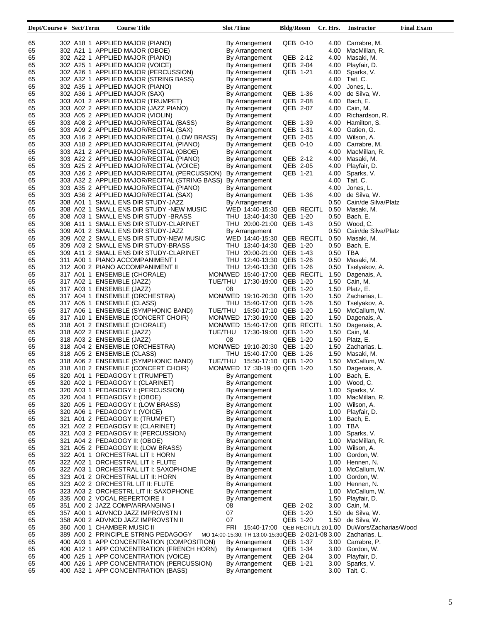| Dept/Course # Sect/Term | <b>Course Title</b>                  |                                                              | <b>Slot</b> /Time |                                                   | <b>Bldg/Room</b> |            | Cr. Hrs. | <b>Instructor</b>        | <b>Final Exam</b> |
|-------------------------|--------------------------------------|--------------------------------------------------------------|-------------------|---------------------------------------------------|------------------|------------|----------|--------------------------|-------------------|
|                         |                                      |                                                              |                   |                                                   |                  |            |          |                          |                   |
| 65                      | 302 A18 1 APPLIED MAJOR (PIANO)      |                                                              |                   | By Arrangement                                    | QEB 0-10         |            |          | 4.00 Carrabre, M.        |                   |
| 65                      | 302 A21 1 APPLIED MAJOR (OBOE)       |                                                              |                   | By Arrangement                                    |                  |            | 4.00     | MacMillan, R.            |                   |
| 65                      | 302 A22 1 APPLIED MAJOR (PIANO)      |                                                              |                   | By Arrangement                                    | QEB 2-12         |            | 4.00     | Masaki, M.               |                   |
| 65                      | 302 A25 1 APPLIED MAJOR (VOICE)      |                                                              |                   | By Arrangement                                    | QEB 2-04         |            |          | 4.00 Playfair, D.        |                   |
| 65                      |                                      | 302 A26 1 APPLIED MAJOR (PERCUSSION)                         |                   | By Arrangement                                    | QEB 1-21         |            |          | 4.00 Sparks, V.          |                   |
| 65                      |                                      | 302 A32 1 APPLIED MAJOR (STRING BASS)                        |                   | By Arrangement                                    |                  |            | 4.00     | Tait, C.                 |                   |
| 65                      | 302 A35 1 APPLIED MAJOR (PIANO)      |                                                              |                   |                                                   |                  |            | 4.00     |                          |                   |
|                         |                                      |                                                              |                   | By Arrangement                                    |                  |            |          | Jones, L.                |                   |
| 65                      | 302 A36 1 APPLIED MAJOR (SAX)        |                                                              |                   | By Arrangement                                    | QEB 1-36         |            |          | 4.00 de Silva, W.        |                   |
| 65                      | 303 A01 2 APPLIED MAJOR (TRUMPET)    |                                                              |                   | By Arrangement                                    | QEB 2-08         |            | 4.00     | Bach, E.                 |                   |
| 65                      | 303 A02 2 APPLIED MAJOR (JAZZ PIANO) |                                                              |                   | By Arrangement                                    | QEB 2-07         |            |          | 4.00 Cain, M.            |                   |
| 65                      | 303 A05 2 APPLIED MAJOR (VIOLIN)     |                                                              |                   | By Arrangement                                    |                  |            | 4.00     | Richardson, R.           |                   |
| 65                      |                                      | 303 A08 2 APPLIED MAJOR/RECITAL (BASS)                       |                   | By Arrangement                                    | QEB 1-39         |            |          | 4.00 Hamilton, S.        |                   |
| 65                      |                                      | 303 A09 2 APPLIED MAJOR/RECITAL (SAX)                        |                   | By Arrangement                                    | QEB 1-31         |            |          | 4.00 Gatien, G.          |                   |
| 65                      |                                      | 303 A16 2 APPLIED MAJOR/RECITAL (LOW BRASS)                  |                   | By Arrangement                                    | QEB 2-05         |            |          | 4.00 Wilson, A.          |                   |
| 65                      |                                      | 303 A18 2 APPLIED MAJOR/RECITAL (PIANO)                      |                   | By Arrangement                                    | QEB 0-10         |            |          | 4.00 Carrabre, M.        |                   |
| 65                      |                                      | 303 A21 2 APPLIED MAJOR/RECITAL (OBOE)                       |                   | By Arrangement                                    |                  |            | 4.00     | MacMillan, R.            |                   |
| 65                      |                                      | 303 A22 2 APPLIED MAJOR/RECITAL (PIANO)                      |                   | By Arrangement                                    | QEB 2-12         |            |          | 4.00 Masaki, M.          |                   |
| 65                      |                                      | 303 A25 2 APPLIED MAJOR/RECITAL (VOICE)                      |                   | By Arrangement                                    | QEB 2-05         |            |          | 4.00 Playfair, D.        |                   |
| 65                      |                                      | 303 A26 2 APPLIED MAJOR/RECITAL (PERCUSSION)                 |                   | By Arrangement                                    | QEB 1-21         |            |          | 4.00 Sparks, V.          |                   |
| 65                      |                                      | 303 A32 2 APPLIED MAJOR/RECITAL (STRING BASS) By Arrangement |                   |                                                   |                  |            |          | 4.00 Tait, C.            |                   |
| 65                      |                                      | 303 A35 2 APPLIED MAJOR/RECITAL (PIANO)                      |                   | By Arrangement                                    |                  |            | 4.00     | Jones, L.                |                   |
| 65                      |                                      | 303 A36 2 APPLIED MAJOR/RECITAL (SAX)                        |                   | By Arrangement                                    | QEB 1-36         |            | 4.00     | de Silva, W.             |                   |
|                         | 308 A01 1 SMALL ENS DIR STUDY-JAZZ   |                                                              |                   |                                                   |                  |            | 0.50     | Cain/de Silva/Platz      |                   |
| 65                      |                                      |                                                              |                   | By Arrangement                                    |                  |            |          |                          |                   |
| 65                      |                                      | 308 A02 1 SMALL ENS DIR STUDY -NEW MUSIC                     |                   | WED 14:40-15:30                                   |                  | QEB RECITL | 0.50     | Masaki, M.               |                   |
| 65                      |                                      | 308 A03 1 SMALL ENS DIR STUDY -BRASS                         |                   | THU 13:40-14:30 QEB 1-20                          |                  |            |          | 0.50 Bach, E.            |                   |
| 65                      |                                      | 308 A11 1 SMALL ENS DIR STUDY-CLARINET                       |                   | THU 20:00-21:00 QEB 1-43                          |                  |            |          | 0.50 Wood, C.            |                   |
| 65                      | 309 A01 2 SMALL ENS DIR STUDY-JAZZ   |                                                              |                   | By Arrangement                                    |                  |            |          | 0.50 Cain/de Silva/Platz |                   |
| 65                      |                                      | 309 A02 2 SMALL ENS DIR STUDY-NEW MUSIC                      |                   | WED 14:40-15:30 QEB RECITL                        |                  |            | 0.50     | Masaki, M.               |                   |
| 65                      | 309 A03 2 SMALL ENS DIR STUDY-BRASS  |                                                              |                   | THU 13:40-14:30 QEB 1-20                          |                  |            |          | 0.50 Bach, E.            |                   |
| 65                      |                                      | 309 A11 2 SMALL ENS DIR STUDY-CLARINET                       |                   | THU 20:00-21:00 QEB 1-43                          |                  |            | 0.50 TBA |                          |                   |
| 65                      | 311 A00 1 PIANO ACCOMPANIMENT I      |                                                              |                   | THU 12:40-13:30 QEB 1-26                          |                  |            |          | 0.50 Masaki, M.          |                   |
| 65                      | 312 A00 2 PIANO ACCOMPANIMENT II     |                                                              |                   | THU 12:40-13:30 QEB 1-26                          |                  |            | 0.50     | Tselyakov, A.            |                   |
| 65                      | 317 A01 1 ENSEMBLE (CHORALE)         |                                                              |                   | MON/WED 15:40-17:00 QEB RECITL                    |                  |            |          | 1.50 Dagenais, A.        |                   |
| 65                      | 317 A02 1 ENSEMBLE (JAZZ)            |                                                              |                   | TUE/THU 17:30-19:00 QEB 1-20                      |                  |            |          | 1.50 Cain, M.            |                   |
| 65                      | 317 A03 1 ENSEMBLE (JAZZ)            |                                                              | 08                |                                                   | QEB 1-20         |            |          | 1.50 Platz, E.           |                   |
| 65                      | 317 A04 1 ENSEMBLE (ORCHESTRA)       |                                                              |                   | MON/WED 19:10-20:30 QEB 1-20                      |                  |            |          | 1.50 Zacharias, L.       |                   |
| 65                      | 317 A05 1 ENSEMBLE (CLASS)           |                                                              |                   | THU 15:40-17:00 QEB 1-26                          |                  |            |          |                          |                   |
|                         |                                      |                                                              |                   |                                                   |                  |            | 1.50     | Tselyakov, A.            |                   |
| 65                      |                                      | 317 A06 1 ENSEMBLE (SYMPHONIC BAND)                          |                   | TUE/THU  15:50-17:10  QEB  1-20                   |                  |            | 1.50     | McCallum, W.             |                   |
| 65                      | 317 A10 1 ENSEMBLE (CONCERT CHOIR)   |                                                              |                   | MON/WED 17:30-19:00 QEB 1-20                      |                  |            | 1.50     | Dagenais, A.             |                   |
| 65                      | 318 A01 2 ENSEMBLE (CHORALE)         |                                                              |                   | MON/WED 15:40-17:00 QEB RECITL                    |                  |            | 1.50     | Dagenais, A.             |                   |
| 65                      | 318 A02 2 ENSEMBLE (JAZZ)            |                                                              |                   | TUE/THU 17:30-19:00 QEB 1-20                      |                  |            |          | 1.50 Cain, M.            |                   |
| 65                      | 318 A03 2 ENSEMBLE (JAZZ)            |                                                              | 08                |                                                   | QEB 1-20         |            |          | 1.50 Platz, E.           |                   |
| 65                      | 318 A04 2 ENSEMBLE (ORCHESTRA)       |                                                              |                   | MON/WED 19:10-20:30 QEB 1-20                      |                  |            |          | 1.50 Zacharias, L.       |                   |
| 65                      | 318 A05 2 ENSEMBLE (CLASS)           |                                                              |                   | THU 15:40-17:00 QEB 1-26                          |                  |            | 1.50     | Masaki, M.               |                   |
| 65                      |                                      | 318 A06 2 ENSEMBLE (SYMPHONIC BAND)                          | TUE/THU           | 15:50-17:10 QEB 1-20                              |                  |            |          | 1.50 McCallum, W.        |                   |
| 65                      | 318 A10 2 ENSEMBLE (CONCERT CHOIR)   |                                                              |                   | MON/WED 17:30-19:00 QEB 1-20                      |                  |            |          | 1.50 Dagenais, A.        |                   |
| 65                      | 320 A01 1 PEDAGOGY I: (TRUMPET)      |                                                              |                   | By Arrangement                                    |                  |            |          | 1.00 Bach, E.            |                   |
| 65                      | 320 A02 1 PEDAGOGY I: (CLARINET)     |                                                              |                   | By Arrangement                                    |                  |            |          | 1.00 Wood, C.            |                   |
| 65                      | 320 A03 1 PEDAGOGY I: (PERCUSSION)   |                                                              |                   | By Arrangement                                    |                  |            | 1.00     | Sparks, V.               |                   |
| 65                      | 320 A04 1 PEDAGOGY I: (OBOE)         |                                                              |                   | By Arrangement                                    |                  |            | 1.00     | MacMillan, R.            |                   |
| 65                      | 320 A05 1 PEDAGOGY I: (LOW BRASS)    |                                                              |                   | By Arrangement                                    |                  |            | 1.00     | Wilson, A.               |                   |
| 65                      | 320 A06 1 PEDAGOGY I: (VOICE)        |                                                              |                   | By Arrangement                                    |                  |            | 1.00     | Playfair, D.             |                   |
| 65                      | 321 A01 2 PEDAGOGY II: (TRUMPET)     |                                                              |                   | By Arrangement                                    |                  |            | 1.00     | Bach, E.                 |                   |
| 65                      | 321 A02 2 PEDAGOGY II: (CLARINET)    |                                                              |                   | By Arrangement                                    |                  |            | 1.00 TBA |                          |                   |
|                         |                                      |                                                              |                   |                                                   |                  |            |          |                          |                   |
| 65                      | 321 A03 2 PEDAGOGY II: (PERCUSSION)  |                                                              |                   | By Arrangement                                    |                  |            | 1.00     | Sparks, V.               |                   |
| 65                      | 321 A04 2 PEDAGOGY II: (OBOE)        |                                                              |                   | By Arrangement                                    |                  |            | 1.00     | MacMillan, R.            |                   |
| 65                      | 321 A05 2 PEDAGOGY II: (LOW BRASS)   |                                                              |                   | By Arrangement                                    |                  |            | 1.00     | Wilson, A.               |                   |
| 65                      | 322 A01 1 ORCHESTRAL LIT I: HORN     |                                                              |                   | By Arrangement                                    |                  |            | 1.00     | Gordon, W.               |                   |
| 65                      | 322 A02 1 ORCHESTRAL LIT I: FLUTE    |                                                              |                   | By Arrangement                                    |                  |            | 1.00     | Hennen, N.               |                   |
| 65                      |                                      | 322 A03 1 ORCHESTRAL LIT I: SAXOPHONE                        |                   | By Arrangement                                    |                  |            | 1.00     | McCallum, W.             |                   |
| 65                      | 323 A01 2 ORCHESTRAL LIT II: HORN    |                                                              |                   | By Arrangement                                    |                  |            | 1.00     | Gordon, W.               |                   |
| 65                      | 323 A02 2 ORCHESTRL LIT II: FLUTE    |                                                              |                   | By Arrangement                                    |                  |            | 1.00     | Hennen, N.               |                   |
| 65                      |                                      | 323 A03 2 ORCHESTRL LIT II: SAXOPHONE                        |                   | By Arrangement                                    |                  |            | 1.00     | McCallum, W.             |                   |
| 65                      | 335 A00 2 VOCAL REPERTOIRE II        |                                                              |                   | By Arrangement                                    |                  |            | 1.50     | Playfair, D.             |                   |
| 65                      | 351 A00 2 JAZZ COMP/ARRANGING I      |                                                              | 08                |                                                   | QEB 2-02         |            | 3.00     | Cain, M.                 |                   |
| 65                      | 357 A00 1 ADVNCD JAZZ IMPROVSTN I    |                                                              | 07                |                                                   | QEB 1-20         |            | 1.50     | de Silva, W.             |                   |
| 65                      | 358 A00 2 ADVNCD JAZZ IMPROVSTN II   |                                                              | 07                |                                                   | QEB 1-20         |            | 1.50     | de Silva, W.             |                   |
| 65                      | 360 A00 1 CHAMBER MUSIC II           |                                                              | FRI               | 15:40-17:00 QEB RECITL/1-201.00                   |                  |            |          | DuWors/Zacharias/Wood    |                   |
| 65                      |                                      | 389 A00 2 PRINCIPLE STRING PEDAGOGY                          |                   | MO 14:00-15:30; TH 13:00-15:30 QEB 2-02/1-08 3.00 |                  |            |          | Zacharias, L.            |                   |
| 65                      |                                      |                                                              |                   |                                                   | QEB 1-37         |            |          |                          |                   |
|                         |                                      | 400 A03 1 APP CONCENTRATION (COMPOSITION)                    |                   | By Arrangement                                    |                  |            |          | 3.00 Carrabre, P.        |                   |
| 65                      |                                      | 400 A12 1 APP CONCENTRATION (FRENCH HORN)                    |                   | By Arrangement                                    | QEB 1-34         |            |          | 3.00 Gordon, W.          |                   |
| 65                      | 400 A25 1 APP CONCENTRATION (VOICE)  |                                                              |                   | By Arrangement                                    | QEB 2-04         |            | 3.00     | Playfair, D.             |                   |
| 65                      |                                      | 400 A26 1 APP CONCENTRATION (PERCUSSION)                     |                   | By Arrangement                                    | QEB 1-21         |            | 3.00     | Sparks, V.               |                   |
| 65                      | 400 A32 1 APP CONCENTRATION (BASS)   |                                                              |                   | By Arrangement                                    |                  |            |          | 3.00 Tait, C.            |                   |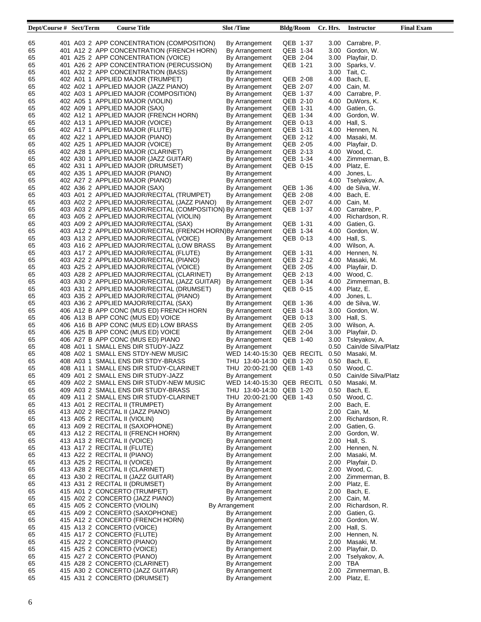| Dept/Course # Sect/Term | <b>Course Title</b>                                          | <b>Slot</b> /Time                          | <b>Bldg/Room</b> | Cr. Hrs. | Instructor          | <b>Final Exam</b> |
|-------------------------|--------------------------------------------------------------|--------------------------------------------|------------------|----------|---------------------|-------------------|
|                         |                                                              |                                            |                  |          |                     |                   |
| 65                      | 401 A03 2 APP CONCENTRATION (COMPOSITION)                    | By Arrangement                             | QEB 1-37         | 3.00     | Carrabre, P.        |                   |
| 65                      | 401 A12 2 APP CONCENTRATION (FRENCH HORN)                    | By Arrangement                             | QEB 1-34         | 3.00     | Gordon, W.          |                   |
| 65                      | 401 A25 2 APP CONCENTRATION (VOICE)                          | By Arrangement                             | QEB 2-04         | 3.00     | Playfair, D.        |                   |
| 65                      | 401 A26 2 APP CONCENTRATION (PERCUSSION)                     | By Arrangement                             | QEB 1-21         | 3.00     | Sparks, V.          |                   |
| 65                      | 401 A32 2 APP CONCENTRATION (BASS)                           | By Arrangement                             |                  |          | 3.00 Tait, C.       |                   |
| 65                      | 402 A01 1 APPLIED MAJOR (TRUMPET)                            | By Arrangement                             | QEB 2-08         | 4.00     | Bach, E.            |                   |
| 65                      | 402 A02 1 APPLIED MAJOR (JAZZ PIANO)                         | By Arrangement                             | QEB 2-07         | 4.00     | Cain, M.            |                   |
| 65                      | 402 A03 1 APPLIED MAJOR (COMPOSITION)                        | By Arrangement                             | QEB 1-37         | 4.00     | Carrabre, P.        |                   |
| 65                      | 402 A05 1 APPLIED MAJOR (VIOLIN)                             | By Arrangement                             | QEB 2-10         | 4.00     | DuWors, K.          |                   |
| 65                      | 402 A09 1 APPLIED MAJOR (SAX)                                |                                            | QEB 1-31         | 4.00     | Gatien, G.          |                   |
| 65                      | 402 A12 1 APPLIED MAJOR (FRENCH HORN)                        | By Arrangement                             | QEB 1-34         |          | Gordon, W.          |                   |
|                         |                                                              | By Arrangement                             |                  | 4.00     |                     |                   |
| 65                      | 402 A13 1 APPLIED MAJOR (VOICE)                              | By Arrangement                             | QEB 0-13         | 4.00     | Hall, S.            |                   |
| 65                      | 402 A17 1 APPLIED MAJOR (FLUTE)                              | By Arrangement                             | QEB 1-31         | 4.00     | Hennen, N.          |                   |
| 65                      | 402 A22 1 APPLIED MAJOR (PIANO)                              | By Arrangement                             | QEB 2-12         | 4.00     | Masaki, M.          |                   |
| 65                      | 402 A25 1 APPLIED MAJOR (VOICE)                              | By Arrangement                             | QEB 2-05         | 4.00     | Playfair, D.        |                   |
| 65                      | 402 A28 1 APPLIED MAJOR (CLARINET)                           | By Arrangement                             | QEB 2-13         |          | 4.00 Wood, C.       |                   |
| 65                      | 402 A30 1 APPLIED MAJOR (JAZZ GUITAR)                        | By Arrangement                             | QEB 1-34         | 4.00     | Zimmerman, B.       |                   |
| 65                      | 402 A31 1 APPLIED MAJOR (DRUMSET)                            | By Arrangement                             | QEB 0-15         | 4.00     | Platz, E.           |                   |
| 65                      | 402 A35 1 APPLIED MAJOR (PIANO)                              | By Arrangement                             |                  | 4.00     | Jones, L.           |                   |
| 65                      | 402 A27 2 APPLIED MAJOR (PIANO)                              | By Arrangement                             |                  | 4.00     | Tselyakov, A.       |                   |
| 65                      | 402 A36 2 APPLIED MAJOR (SAX)                                | By Arrangement                             | QEB 1-36         | 4.00     | de Silva, W.        |                   |
| 65                      | 403 A01 2 APPLIED MAJOR/RECITAL (TRUMPET)                    | By Arrangement                             | QEB 2-08         | 4.00     | Bach, E.            |                   |
| 65                      | 403 A02 2 APPLIED MAJOR/RECITAL (JAZZ PIANO)                 | By Arrangement                             | QEB 2-07         | 4.00     | Cain, M.            |                   |
| 65                      | 403 A03 2 APPLIED MAJOR/RECITAL (COMPOSITION) By Arrangement |                                            | QEB 1-37         | 4.00     | Carrabre, P.        |                   |
| 65                      | 403 A05 2 APPLIED MAJOR/RECITAL (VIOLIN)                     | By Arrangement                             |                  | 4.00     | Richardson, R.      |                   |
| 65                      | 403 A09 2 APPLIED MAJOR/RECITAL (SAX)                        | By Arrangement                             | QEB 1-31         | 4.00     | Gatien, G.          |                   |
| 65                      | 403 A12 2 APPLIED MAJOR/RECITAL (FRENCH HORN)By Arrangement  |                                            | QEB 1-34         | 4.00     | Gordon, W.          |                   |
| 65                      | 403 A13 2 APPLIED MAJOR/RECITAL (VOICE)                      | By Arrangement                             | QEB 0-13         | 4.00     | Hall, S.            |                   |
| 65                      | 403 A16 2 APPLIED MAJOR/RECITAL (LOW BRASS                   | By Arrangement                             |                  | 4.00     | Wilson, A.          |                   |
| 65                      | 403 A17 2 APPLIED MAJOR/RECITAL (FLUTE)                      |                                            | QEB 1-31         |          | Hennen, N.          |                   |
|                         |                                                              | By Arrangement                             |                  | 4.00     |                     |                   |
| 65                      | 403  A22  2  APPLIED MAJOR/RECITAL (PIANO)                   | By Arrangement                             | QEB 2-12         | 4.00     | Masaki, M.          |                   |
| 65                      | 403 A25 2 APPLIED MAJOR/RECITAL (VOICE)                      | By Arrangement                             | QEB 2-05         | 4.00     | Playfair, D.        |                   |
| 65                      | 403  A28  2   APPLIED MAJOR/RECITAL (CLARINET)               | By Arrangement                             | QEB 2-13         |          | 4.00 Wood, C.       |                   |
| 65                      | 403 A30 2 APPLIED MAJOR/RECITAL (JAZZ GUITAR).               | By Arrangement                             | QEB 1-34         |          | 4.00 Zimmerman, B.  |                   |
| 65                      | 403 A31 2 APPLIED MAJOR/RECITAL (DRUMSET)                    | By Arrangement                             | QEB 0-15         | 4.00     | Platz, E.           |                   |
| 65                      | 403 A35 2 APPLIED MAJOR/RECITAL (PIANO)                      | By Arrangement                             |                  | 4.00     | Jones, L.           |                   |
| 65                      | 403 A36 2 APPLIED MAJOR/RECITAL (SAX)                        | By Arrangement                             | QEB 1-36         | 4.00     | de Silva, W.        |                   |
| 65                      | 406 A12 B APP CONC (MUS ED) FRENCH HORN                      | By Arrangement                             | QEB 1-34         | 3.00     | Gordon, W.          |                   |
| 65                      | 406 A13 B APP CONC (MUS ED) VOICE                            | By Arrangement                             | QEB 0-13         | 3.00     | Hall, S.            |                   |
| 65                      | 406 A16 B APP CONC (MUS ED) LOW BRASS                        | By Arrangement                             | QEB 2-05         | 3.00     | Wilson, A.          |                   |
| 65                      | 406 A25 B APP CONC (MUS ED) VOICE                            | By Arrangement                             | QEB 2-04         | 3.00     | Playfair, D.        |                   |
| 65                      | 406 A27 B APP CONC (MUS ED) PIANO                            | By Arrangement                             | QEB 1-40         |          | 3.00 Tsleyakov, A.  |                   |
| 65                      | 408 A01 1 SMALL ENS DIR STUDY-JAZZ                           | By Arrangement                             |                  | 0.50     | Cain/de Silva/Platz |                   |
| 65                      | 408 A02 1 SMALL ENS STDY-NEW MUSIC                           | WED 14:40-15:30 QEB RECITL                 |                  | 0.50     | Masaki, M.          |                   |
| 65                      | 408 A03 1 SMALL ENS DIR STDY-BRASS                           | THU 13:40-14:30                            | QEB 1-20         | 0.50     | Bach, E.            |                   |
| 65                      | 408 A11 1 SMALL ENS DIR STUDY-CLARINET                       | THU 20:00-21:00 QEB 1-43                   |                  | 0.50     | Wood, C.            |                   |
| 65                      | 409 A01 2 SMALL ENS DIR STUDY-JAZZ                           | By Arrangement                             |                  | 0.50     | Cain/de Silva/Platz |                   |
| 65                      | 409 A02 2 SMALL ENS DIR STUDY-NEW MUSIC                      | WED 14:40-15:30 QEB RECITL 0.50 Masaki, M. |                  |          |                     |                   |
| 65                      | 409 A03 2 SMALL ENS DIR STUDY-BRASS                          | THU 13:40-14:30 QEB 1-20                   |                  |          | 0.50 Bach, E.       |                   |
| 65                      | 409 A11 2 SMALL ENS DIR STUDY-CLARINET                       | THU 20:00-21:00 QEB 1-43                   |                  |          | 0.50 Wood, C.       |                   |
| 65                      | 413 A01 2 RECITAL II (TRUMPET)                               | By Arrangement                             |                  | 2.00     | Bach, E.            |                   |
| 65                      | 413 A02 2 RECITAL II (JAZZ PIANO)                            | By Arrangement                             |                  |          | 2.00 Cain, M.       |                   |
| 65                      | 413 A05 2 RECITAL II (VIOLIN)                                | By Arrangement                             |                  | 2.00     | Richardson, R.      |                   |
| 65                      | 413  A09  2   RECITAL II (SAXOPHONE)                         | By Arrangement                             |                  | 2.00     | Gatien, G.          |                   |
| 65                      | 413 A12 2 RECITAL II (FRENCH HORN)                           |                                            |                  |          | 2.00 Gordon, W.     |                   |
|                         |                                                              | By Arrangement                             |                  |          |                     |                   |
| 65                      | 413 A13 2 RECITAL II (VOICE)                                 | By Arrangement                             |                  |          | 2.00 Hall, S.       |                   |
| 65                      | 413 A17 2 RECITAL II (FLUTE)                                 | By Arrangement                             |                  |          | 2.00 Hennen, N.     |                   |
| 65                      | 413 A22 2 RECITAL II (PIANO)                                 | By Arrangement                             |                  |          | 2.00 Masaki, M.     |                   |
| 65                      | 413 A25 2 RECITAL II (VOICE)                                 | By Arrangement                             |                  |          | 2.00 Playfair, D.   |                   |
| 65                      | 413 A28 2 RECITAL II (CLARINET)                              | By Arrangement                             |                  |          | 2.00 Wood, C.       |                   |
| 65                      | 413  A30  2  RECITAL II (JAZZ GUITAR)                        | By Arrangement                             |                  |          | 2.00 Zimmerman, B.  |                   |
| 65                      | 413 A31 2 RECITAL II (DRUMSET)                               | By Arrangement                             |                  |          | 2.00 Platz, E.      |                   |
| 65                      | 415 A01 2 CONCERTO (TRUMPET)                                 | By Arrangement                             |                  |          | 2.00 Bach, E.       |                   |
| 65                      | 415 A02 2 CONCERTO (JAZZ PIANO)                              | By Arrangement                             |                  |          | 2.00 Cain, M.       |                   |
| 65                      | 415 A05 2 CONCERTO (VIOLIN)                                  | By Arrangement                             |                  | 2.00     | Richardson, R.      |                   |
| 65                      | 415 A09 2 CONCERTO (SAXOPHONE)                               | By Arrangement                             |                  |          | 2.00 Gatien, G.     |                   |
| 65                      | 415 A12 2 CONCERTO (FRENCH HORN)                             | By Arrangement                             |                  | 2.00     | Gordon, W.          |                   |
| 65                      | 415 A13 2 CONCERTO (VOICE)                                   | By Arrangement                             |                  |          | 2.00 Hall, S.       |                   |
| 65                      | 415  A17  2  CONCERTO (FLUTE)                                | By Arrangement                             |                  | 2.00     | Hennen, N.          |                   |
| 65                      | 415 A22 2 CONCERTO (PIANO)                                   | By Arrangement                             |                  | 2.00     | Masaki, M.          |                   |
| 65                      | 415 A25 2 CONCERTO (VOICE)                                   | By Arrangement                             |                  | 2.00     | Playfair, D.        |                   |
| 65                      | 415 A27 2 CONCERTO (PIANO)                                   | By Arrangement                             |                  | 2.00     | Tselyakov, A.       |                   |
| 65                      | 415 A28 2 CONCERTO (CLARINET)                                | By Arrangement                             |                  | 2.00     | TBA                 |                   |
| 65                      | 415 A30 2 CONCERTO (JAZZ GUITAR)                             | By Arrangement                             |                  | 2.00     | Zimmerman, B.       |                   |
| 65                      | 415 A31 2 CONCERTO (DRUMSET)                                 | By Arrangement                             |                  |          | 2.00 Platz, E.      |                   |
|                         |                                                              |                                            |                  |          |                     |                   |